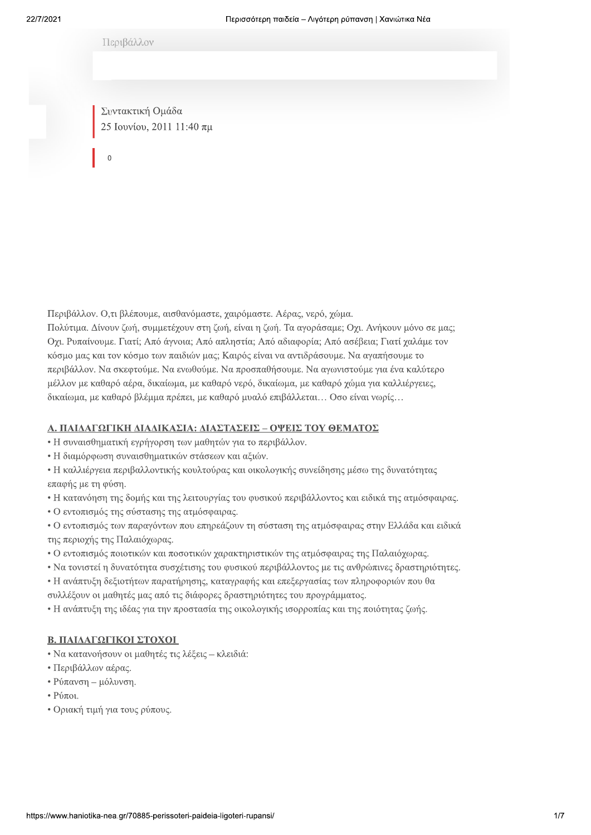Περιβάλλον

Συντακτική Ομάδα 25 Ιουνίου, 2011 11:40 πμ

 $\Omega$ 

Περιβάλλον. Ο,τι βλέπουμε, αισθανόμαστε, χαιρόμαστε. Αέρας, νερό, χώμα. Πολύτιμα. Δίνουν ζωή, συμμετέχουν στη ζωή, είναι η ζωή. Τα αγοράσαμε; Οχι. Ανήκουν μόνο σε μας; Οχι. Ρυπαίνουμε. Γιατί; Από άγνοια; Από απληστία; Από αδιαφορία; Από ασέβεια; Γιατί χαλάμε τον κόσμο μας και τον κόσμο των παιδιών μας; Καιρός είναι να αντιδράσουμε. Να αγαπήσουμε το περιβάλλον. Να σκεφτούμε. Να ενωθούμε. Να προσπαθήσουμε. Να αγωνιστούμε για ένα καλύτερο μέλλον με καθαρό αέρα, δικαίωμα, με καθαρό νερό, δικαίωμα, με καθαρό γώμα για καλλιέργειες, δικαίωμα, με καθαρό βλέμμα πρέπει, με καθαρό μυαλό επιβάλλεται... Οσο είναι νωρίς...

## Α. ΠΑΙΔΑΓΩΓΙΚΗ ΔΙΑΔΙΚΑΣΙΑ: ΔΙΑΣΤΑΣΕΙΣ – ΟΨΕΙΣ ΤΟΥ ΘΕΜΑΤΟΣ

- Η συναισθηματική εγρήγορση των μαθητών για το περιβάλλον.
- Η διαμόρφωση συναισθηματικών στάσεων και αξιών.
- Η καλλιέργεια περιβαλλοντικής κουλτούρας και οικολογικής συνείδησης μέσω της δυνατότητας επαφής με τη φύση.
- Η κατανόηση της δομής και της λειτουργίας του φυσικού περιβάλλοντος και ειδικά της ατμόσφαιρας.
- Ο εντοπισμός της σύστασης της ατμόσφαιρας.
- Ο εντοπισμός των παραγόντων που επηρεάζουν τη σύσταση της ατμόσφαιρας στην Ελλάδα και ειδικά της περιογής της Παλαιόγωρας.
- Ο εντοπισμός ποιοτικών και ποσοτικών χαρακτηριστικών της ατμόσφαιρας της Παλαιόχωρας.
- Να τονιστεί η δυνατότητα συσχέτισης του φυσικού περιβάλλοντος με τις ανθρώπινες δραστηριότητες.
- Η ανάπτυξη δεξιοτήτων παρατήρησης, καταγραφής και επεξεργασίας των πληροφοριών που θα συλλέξουν οι μαθητές μας από τις διάφορες δραστηριότητες του προγράμματος.
- Η ανάπτυξη της ιδέας για την προστασία της οικολογικής ισορροπίας και της ποιότητας ζωής.

## Β. ΠΑΙΔΑΓΩΓΙΚΟΙ ΣΤΟΧΟΙ

- Να κατανοήσουν οι μαθητές τις λέξεις κλειδιά:
- Περιβάλλων αέρας.
- Ρύπανση μόλυνση.
- $\cdot$  Pύποι.
- Οριακή τιμή για τους ρύπους.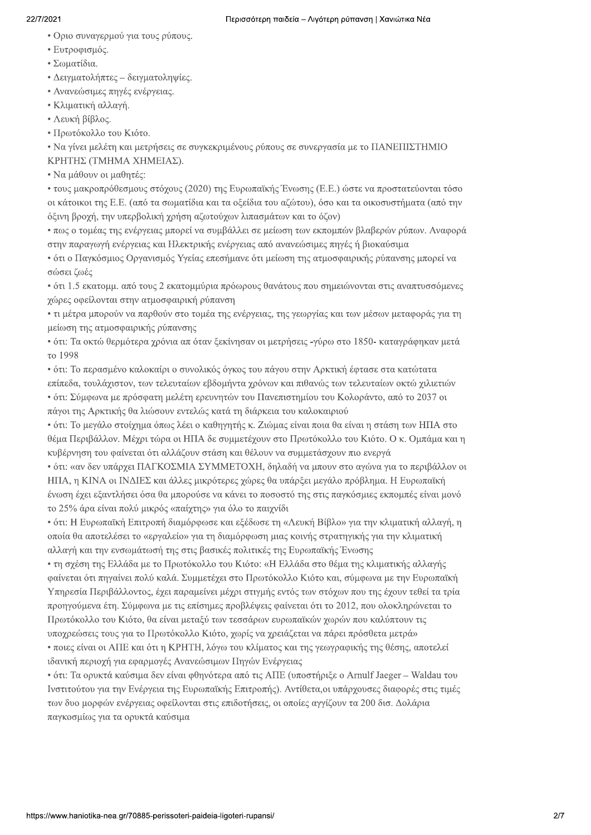### 22/7/2021

- Οριο συναγερμού για τους ρύπους.
- Ευτροφισμός.
- $\cdot$  Σωματίδια.
- Δειγματολήπτες δειγματοληψίες.
- · Ανανεώσιμες πηγές ενέργειας.
- Κλιματική αλλαγή.
- Λευκή βίβλος.
- Πρωτόκολλο του Κιότο.

• Να γίνει μελέτη και μετρήσεις σε συγκεκριμένους ρύπους σε συνεργασία με το ΠΑΝΕΠΙΣΤΗΜΙΟ ΚΡΗΤΗΣ (ΤΜΗΜΑ ΧΗΜΕΙΑΣ).

 $\cdot$  N $\alpha$  μάθουν οι μαθητές:

• τους μακροπρόθεσμους στόχους (2020) της Ευρωπαϊκής Ένωσης (Ε.Ε.) ώστε να προστατεύονται τόσο οι κάτοικοι της Ε.Ε. (από τα σωματίδια και τα οξείδια του αζώτου), όσο και τα οικοσυστήματα (από την oξινη βροχή, την υπερβολική χρήση αζωτούχων λιπασμάτων και το όζον)

 $\cdot$  πως ο τομέας της ενέργειας μπορεί να συμβάλλει σε μείωση των εκπομπών βλαβερών ρύπων. Αναφορά στην παραγωγή ενέργειας και Ηλεκτρικής ενέργειας από ανανεώσιμες πηγές ή βιοκαύσιμα

• ότι ο Παγκόσμιος Οργανισμός Υγείας επεσήμανε ότι μείωση της ατμοσφαιρικής ρύπανσης μπορεί να σώσει ζωές

 $\cdot$  ότι 1.5 εκατομμ. από τους 2 εκατομμύρια πρόωρους θανάτους που σημειώνονται στις αναπτυσσόμενες γώρες οφείλονται στην ατμοσφαιρική ρύπανση

• τι μέτρα μπορούν να παρθούν στο τομέα της ενέργειας, της γεωργίας και των μέσων μεταφοράς για τη μείωση της ατμοσφαιρικής ρύπανσης

• ότι: Τα οκτώ θερμότερα χρόνια απ όταν ξεκίνησαν οι μετρήσεις -γύρω στο 1850- καταγράφηκαν μετά το 1998

• ότι: Το περασμένο καλοκαίρι ο συνολικός όγκος του πάγου στην Αρκτική έφτασε στα κατώτατα επίπεδα, τουλάχιστον, των τελευταίων εβδομήντα χρόνων και πιθανώς των τελευταίων οκτώ χιλιετιών  $\cdot$  ότι: Σύμφωνα με πρόσφατη μελέτη ερευνητών του Πανεπιστημίου του Κολοράντο, από το 2037 οι πάγοι της Αρκτικής θα λιώσουν εντελώς κατά τη διάρκεια του καλοκαιριού

 $\cdot$  ότι: Το μεγάλο στοίχημα όπως λέει ο καθηγητής κ. Ζιώμας είναι ποια θα είναι η στάση των ΗΠΑ στο θέμα Περιβάλλον. Μέχρι τώρα οι ΗΠΑ δε συμμετέχουν στο Πρωτόκολλο του Κιότο. Ο κ. Ομπάμα και η κυβέρνηση του φαίνεται ότι αλλάζουν στάση και θέλουν να συμμετάσγουν πιο ενεργά

• ότι: «αν δεν υπάρχει ΠΑΓΚΟΣΜΙΑ ΣΥΜΜΕΤΟΧΗ, δηλαδή να μπουν στο αγώνα για το περιβάλλον οι HΠΑ, η KINA οι INΔΙΕΣ και άλλες μικρότερες χώρες θα υπάρξει μεγάλο πρόβλημα. Η Ευρωπαϊκή ένωση έγει εξαντλήσει όσα θα μπορούσε να κάνει το ποσοστό της στις παγκόσμιες εκπομπές είναι μονό το 25% άρα είναι πολύ μικρός «παίγτης» για όλο το παιγνίδι

• ότι: Η Ευρωπαϊκή Επιτροπή διαμόρφωσε και εξέδωσε τη «Λευκή Βίβλο» για την κλιματική αλλαγή, η οποία θα αποτελέσει το «εργαλείο» για τη διαμόρφωση μιας κοινής στρατηγικής για την κλιματική αλλαγή και την ενσωμάτωσή της στις βασικές πολιτικές της Ευρωπαϊκής Ένωσης

• τη σγέση της Ελλάδα με το Πρωτόκολλο του Κιότο: «Η Ελλάδα στο θέμα της κλιματικής αλλαγής φαίνεται ότι πηγαίνει πολύ καλά. Συμμετέχει στο Πρωτόκολλο Κιότο και, σύμφωνα με την Ευρωπαϊκή Yπηρεσία Περιβάλλοντος, έχει παραμείνει μέχρι στιγμής εντός των στόχων που της έχουν τεθεί τα τρία προηγούμενα έτη. Σύμφωνα με τις επίσημες προβλέψεις φαίνεται ότι το 2012, που ολοκληρώνεται το Πρωτόκολλο του Κιότο, θα είναι μεταξύ των τεσσάρων ευρωπαϊκών χωρών που καλύπτουν τις υποχρεώσεις τους για το Πρωτόκολλο Κιότο, χωρίς να χρειάζεται να πάρει πρόσθετα μετρά»

• ποιες είναι οι ΑΠΕ και ότι η ΚΡΗΤΗ, λόγω του κλίματος και της γεωγραφικής της θέσης, αποτελεί ιδανική περιοχή για εφαρμογές Ανανεώσιμων Πηγών Ενέργειας

 $\cdot$  ότι: Τα ορυκτά καύσιμα δεν είναι φθηνότερα από τις ΑΠΕ (υποστήριξε ο Arnulf Jaeger – Waldau του Iνστιτούτου για την Ενέργεια της Ευρωπαϊκής Επιτροπής). Αντίθετα,οι υπάρχουσες διαφορές στις τιμές των δυο μορφών ενέργειας οφείλονται στις επιδοτήσεις, οι οποίες αγγίζουν τα 200 δισ. Δολάρια παγκοσμίως για τα ορυκτά καύσιμα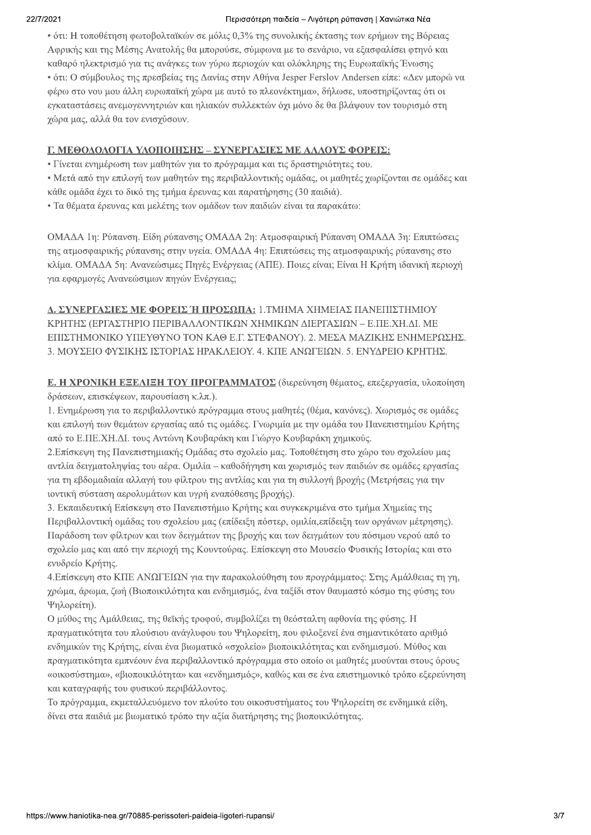### Περισσότερη παιδεία – Λιγότερη ρύπανση | Χανιώτικα Νέα

• ότι: Η τοποθέτηση φωτοβολταϊκών σε μόλις 0,3% της συνολικής έκτασης των ερήμων της Βόρειας Αφρικής και της Μέσης Ανατολής θα μπορούσε, σύμφωνα με το σενάριο, να εξασφαλίσει φτηνό και καθαρό ηλεκτρισμό για τις ανάγκες των γύρω περιοχών και ολόκληρης της Ευρωπαϊκής Ένωσης • ότι: Ο σύμβουλος της πρεσβείας της Δανίας στην Αθήνα Jesper Ferslov Andersen είπε: «Δεν μπορώ να φέρω στο νου μου άλλη ευρωπαϊκή χώρα με αυτό το πλεονέκτημα», δήλωσε, υποστηρίζοντας ότι οι εγκαταστάσεις ανεμογεννητριών και ηλιακών συλλεκτών όχι μόνο δε θα βλάψουν τον τουρισμό στη χώρα μας, αλλά θα τον ενισχύσουν.

# Γ. ΜΕΘΟΔΟΛΟΓΙΑ ΥΛΟΠΟΙΗΣΗΣ – ΣΥΝΕΡΓΑΣΙΕΣ ΜΕ ΑΛΛΟΥΣ ΦΟΡΕΙΣ:

• Γίνεται ενημέρωση των μαθητών για το πρόγραμμα και τις δραστηριότητες του.

• Μετά από την επιλογή των μαθητών της περιβαλλοντικής ομάδας, οι μαθητές χωρίζονται σε ομάδες και κάθε ομάδα έχει το δικό της τμήμα έρευνας και παρατήρησης (30 παιδιά).

• Τα θέματα έρευνας και μελέτης των ομάδων των παιδιών είναι τα παρακάτω:

ΟΜΑΔΑ 1η: Ρύπανση. Είδη ρύπανσης ΟΜΑΔΑ 2η: Ατμοσφαιρική Ρύπανση ΟΜΑΔΑ 3η: Επιπτώσεις της ατμοσφαιρικής ρύπανσης στην υγεία. ΟΜΑΔΑ 4η: Επιπτώσεις της ατμοσφαιρικής ρύπανσης στο κλίμα. ΟΜΑΔΑ 5η: Ανανεώσιμες Πηγές Ενέργειας (ΑΠΕ). Ποιες είναι; Είναι Η Κρήτη ιδανική περιοχή για εφαρμογές Ανανεώσιμων πηγών Ενέργειας;

Δ. ΣΥΝΕΡΓΑΣΙΕΣ ΜΕ ΦΟΡΕΙΣ Ή ΠΡΟΣΩΠΑ: 1.ΤΜΗΜΑ ΧΗΜΕΙΑΣ ΠΑΝΕΠΙΣΤΗΜΙΟΥ ΚΡΗΤΗΣ (ΕΡΓΑΣΤΗΡΙΟ ΠΕΡΙΒΑΛΛΟΝΤΙΚΩΝ ΧΗΜΙΚΩΝ ΛΙΕΡΓΑΣΙΩΝ – Ε.ΠΕ.ΧΗ.ΛΙ. ΜΕ ΕΠΙΣΤΗΜΟΝΙΚΟ ΥΠΕΥΘΥΝΟ ΤΟΝ ΚΑΘ Ε.Γ. ΣΤΕΦΑΝΟΥ). 2. ΜΕΣΑ ΜΑΖΙΚΗΣ ΕΝΗΜΕΡΩΣΗΣ. 3. ΜΟΥΣΕΙΟ ΦΥΣΙΚΗΣ ΙΣΤΟΡΙΑΣ ΗΡΑΚΛΕΙΟΥ, 4. ΚΠΕ ΑΝΩΓΕΙΩΝ, 5. ΕΝΥΔΡΕΙΟ ΚΡΗΤΗΣ.

Ε. Η ΧΡΟΝΙΚΗ ΕΞΕΛΙΞΗ ΤΟΥ ΠΡΟΓΡΑΜΜΑΤΟΣ (διερεύνηση θέματος, επεξεργασία, υλοποίηση δράσεων, επισκέψεων, παρουσίαση κ.λπ.).

1. Ενημέρωση για το περιβαλλοντικό πρόγραμμα στους μαθητές (θέμα, κανόνες). Χωρισμός σε ομάδες και επιλογή των θεμάτων εργασίας από τις ομάδες. Γνωριμία με την ομάδα του Πανεπιστημίου Κρήτης από το Ε.ΠΕ.ΧΗ.ΔΙ. τους Αντώνη Κουβαράκη και Γιώργο Κουβαράκη χημικούς.

2.Επίσκεψη της Πανεπιστημιακής Ομάδας στο σχολείο μας. Τοποθέτηση στο χώρο του σχολείου μας αντλία δειγματοληψίας του αέρα. Ομιλία - καθοδήγηση και χωρισμός των παιδιών σε ομάδες εργασίας για τη εβδομαδιαία αλλαγή του φίλτρου της αντλίας και για τη συλλογή βροχής (Μετρήσεις για την ιοντική σύσταση αερολυμάτων και υγρή εναπόθεσης βροχής).

3. Εκπαιδευτική Επίσκεψη στο Πανεπιστήμιο Κρήτης και συγκεκριμένα στο τμήμα Χημείας της Περιβαλλοντική ομάδας του σχολείου μας (επίδειξη πόστερ, ομιλία, επίδειξη των οργάνων μέτρησης). Παράδοση των φίλτρων και των δειγμάτων της βροχής και των δειγμάτων του πόσιμου νερού από το σχολείο μας και από την περιοχή της Κουντούρας. Επίσκεψη στο Μουσείο Φυσικής Ιστορίας και στο ενυδρείο Κρήτης.

4.Επίσκεψη στο ΚΠΕ ΑΝΩΓΕΙΩΝ για την παρακολούθηση του προγράμματος: Στης Αμάλθειας τη γη, χρώμα, άρωμα, ζωή (Βιοποικιλότητα και ενδημισμός, ένα ταξίδι στον θαυμαστό κόσμο της φύσης του Ψηλορείτη).

Ο μύθος της Αμάλθειας, της θεϊκής τροφού, συμβολίζει τη θεόσταλτη αφθονία της φύσης. Η πραγματικότητα του πλούσιου ανάγλυφου του Ψηλορείτη, που φιλοξενεί ένα σημαντικότατο αριθμό ενδημικών της Κρήτης, είναι ένα βιωματικό «σγολείο» βιοποικιλότητας και ενδημισμού. Μύθος και πραγματικότητα εμπνέουν ένα περιβαλλοντικό πρόγραμμα στο οποίο οι μαθητές μυούνται στους όρους «οικοσύστημα», «βιοποικιλότητα» και «ενδημισμός», καθώς και σε ένα επιστημονικό τρόπο εξερεύνηση και καταγραφής του φυσικού περιβάλλοντος.

Το πρόγραμμα, εκμεταλλευόμενο τον πλούτο του οικοσυστήματος του Ψηλορείτη σε ενδημικά είδη, δίνει στα παιδιά με βιωματικό τρόπο την αξία διατήρησης της βιοποικιλότητας.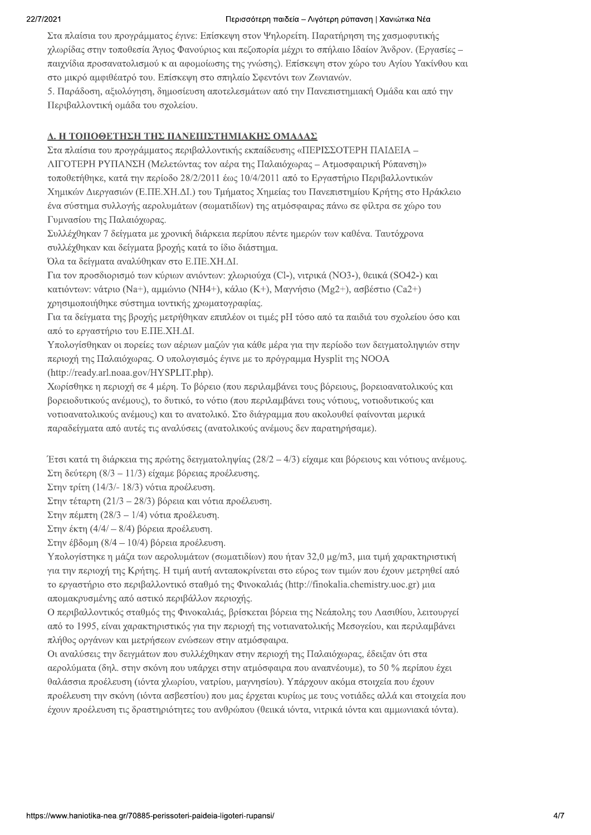#### Περισσότερη παιδεία – Λιγότερη ρύπανση | Χανιώτικα Νέα

Στα πλαίσια του προγράμματος έγινε: Επίσκεψη στον Ψηλορείτη. Παρατήρηση της χασμοφυτικής γλωρίδας στην τοποθεσία Άγιος Φανούριος και πεζοπορία μέγρι το σπήλαιο Ιδαίον Άνδρον. (Εργασίες παιγνίδια προσανατολισμού κ αι αφομοίωσης της γνώσης). Επίσκεψη στον γώρο του Αγίου Υακίνθου και στο μικρό αμφιθέατρό του. Επίσκεψη στο σπηλαίο Σφεντόνι των Ζωνιανών.

5. Παράδοση, αξιολόγηση, δημοσίευση αποτελεσμάτων από την Πανεπιστημιακή Ομάδα και από την Περιβαλλοντική ομάδα του σχολείου.

# Δ. Η ΤΟΠΟΘΕΤΗΣΗ ΤΗΣ ΠΑΝΕΠΙΣΤΗΜΙΑΚΗΣ ΟΜΑΔΑΣ

Στα πλαίσια του προγράμματος περιβαλλοντικής εκπαίδευσης «ΠΕΡΙΣΣΟΤΕΡΗ ΠΑΙΔΕΙΑ – ΛΙΓΟΤΕΡΗ ΡΥΠΑΝΣΗ (Μελετώντας τον αέρα της Παλαιόγωρας – Ατμοσφαιρική Ρύπανση)» τοποθετήθηκε, κατά την περίοδο 28/2/2011 έως 10/4/2011 από το Εργαστήριο Περιβαλλοντικών Χημικών Διεργασιών (Ε.ΠΕ.ΧΗ.ΔΙ.) του Τμήματος Χημείας του Πανεπιστημίου Κρήτης στο Ηράκλειο ένα σύστημα συλλογής αερολυμάτων (σωματιδίων) της ατμόσφαιρας πάνω σε φίλτρα σε γώρο του Γυμνασίου της Παλαιόγωρας.

Συλλέγθηκαν 7 δείγματα με γρονική διάρκεια περίπου πέντε ημερών των καθένα. Ταυτόγρονα συλλέγθηκαν και δείγματα βρογής κατά το ίδιο διάστημα.

Όλα τα δείγματα αναλύθηκαν στο Ε.ΠΕ.ΧΗ.ΔΙ.

Για τον προσδιορισμό των κύριων ανιόντων: γλωριούγα (Cl-), νιτρικά (NO3-), θειικά (SO42-) και κατιόντων: νάτριο (Na+), αμμώνιο (NH4+), κάλιο (K+), Μαγνήσιο (Mg2+), ασβέστιο (Ca2+) χρησιμοποιήθηκε σύστημα ιοντικής χρωματογραφίας.

Για τα δείγματα της βρογής μετρήθηκαν επιπλέον οι τιμές pH τόσο από τα παιδιά του σγολείου όσο και από το εργαστήριο του Ε.ΠΕ.ΧΗ.ΔΙ.

Υπολογίσθηκαν οι πορείες των αέριων μαζών για κάθε μέρα για την περίοδο των δειγματοληψιών στην περιοχή της Παλαιόχωρας. Ο υπολογισμός έγινε με το πρόγραμμα Hysplit της ΝΟΟΑ (http://ready.arl.noaa.gov/HYSPLIT.php).

Χωρίσθηκε η περιοχή σε 4 μέρη. Το βόρειο (που περιλαμβάνει τους βόρειους, βορειοανατολικούς και βορειοδυτικούς ανέμους), το δυτικό, το νότιο (που περιλαμβάνει τους νότιους, νοτιοδυτικούς και νοτιοανατολικούς ανέμους) και το ανατολικό. Στο διάγραμμα που ακολουθεί φαίνονται μερικά παραδείγματα από αυτές τις αναλύσεις (ανατολικούς ανέμους δεν παρατηρήσαμε).

Έτσι κατά τη διάρκεια της πρώτης δειγματοληψίας (28/2 - 4/3) είγαμε και βόρειους και νότιους ανέμους.  $\Sigma$ τη δεύτερη (8/3 – 11/3) είναμε βόρειας προέλευσης.

Στην τρίτη (14/3/- 18/3) νότια προέλευση.

Στην τέταρτη (21/3 - 28/3) βόρεια και νότια προέλευση.

Στην πέμπτη (28/3 - 1/4) νότια προέλευση.

 $\Sigma$ την έκτη (4/4/ - 8/4) βόρεια προέλευση.

 $\Sigma$ την έβδομη (8/4 – 10/4) βόρεια προέλευση.

Υπολογίστηκε η μάζα των αερολυμάτων (σωματιδίων) που ήταν 32,0 μg/m3, μια τιμή γαρακτηριστική για την περιογή της Κρήτης. Η τιμή αυτή ανταποκρίνεται στο εύρος των τιμών που έγουν μετρηθεί από το εργαστήριο στο περιβαλλοντικό σταθμό της Φινοκαλιάς (http://finokalia.chemistry.uoc.gr) μια απομακρυσμένης από αστικό περιβάλλον περιογής.

Ο περιβαλλοντικός σταθμός της Φινοκαλιάς, βρίσκεται βόρεια της Νεάπολης του Λασιθίου, λειτουργεί από το 1995, είναι γαρακτηριστικός για την περιογή της νοτιανατολικής Μεσογείου, και περιλαμβάνει πλήθος οργάνων και μετρήσεων ενώσεων στην ατμόσφαιρα.

Οι αναλύσεις την δειγμάτων που συλλέχθηκαν στην περιοχή της Παλαιόχωρας, έδειξαν ότι στα αερολύματα (δηλ. στην σκόνη που υπάρχει στην ατμόσφαιρα που αναπνέουμε), το 50 % περίπου έχει θαλάσσια προέλευση (ιόντα γλωρίου, νατρίου, μαγνησίου). Υπάργουν ακόμα στοιγεία που έγουν προέλευση την σκόνη (ιόντα ασβεστίου) που μας έργεται κυρίως με τους νοτιάδες αλλά και στοιγεία που έχουν προέλευση τις δραστηριότητες του ανθρώπου (θειικά ιόντα, νιτρικά ιόντα και αμμωνιακά ιόντα).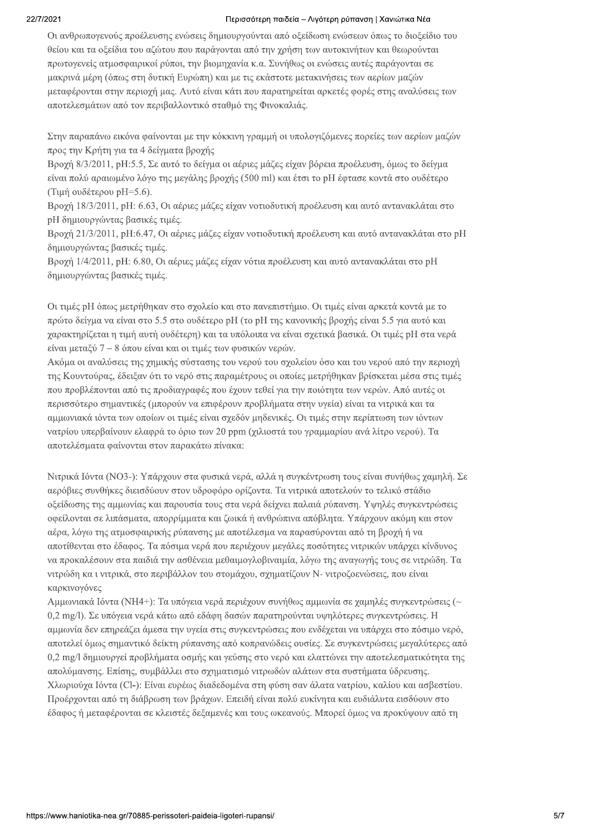#### 22/7/2021

#### Περισσότερη παιδεία – Λιγότερη ρύπανση | Χανιώτικα Νέα

Οι ανθρωπογενούς προέλευσης ενώσεις δημιουργούνται από οξείδωση ενώσεων όπως το διοξείδιο του θείου και τα οξείδια του αζώτου που παράγονται από την χρήση των αυτοκινήτων και θεωρούνται πρωτογενείς ατμοσφαιρικοί ρύποι, την βιομηχανία κ.α. Συνήθως οι ενώσεις αυτές παράγονται σε μακρινά μέρη (όπως στη δυτική Ευρώπη) και με τις εκάστοτε μετακινήσεις των αερίων μαζών μεταφέρονται στην περιοχή μας. Αυτό είναι κάτι που παρατηρείται αρκετές φορές στης αναλύσεις των αποτελεσμάτων από τον περιβαλλοντικό σταθμό της Φινοκαλιάς.

Στην παραπάνω εικόνα φαίνονται με την κόκκινη γραμμή οι υπολογιζόμενες πορείες των αερίων μαζών προς την Κρήτη για τα 4 δείγματα βρογής

Βρογή 8/3/2011, pH:5.5, Σε αυτό το δείγμα οι αέριες μάζες είγαν βόρεια προέλευση, όμως το δείγμα είναι πολύ αραιωμένο λόγο της μεγάλης βροχής (500 ml) και έτσι το pH έφτασε κοντά στο ουδέτερο (Τιμή ουδέτερου pH=5.6).

Βρογή 18/3/2011, pH: 6.63, Οι αέριες μάζες είγαν νοτιοδυτική προέλευση και αυτό αντανακλάται στο pH δημιουργώντας βασικές τιμές.

Βροχή 21/3/2011, pH:6.47, Οι αέριες μάζες είχαν νοτιοδυτική προέλευση και αυτό αντανακλάται στο pH δημιουργώντας βασικές τιμές.

Βροχή 1/4/2011, pH: 6.80, Οι αέριες μάζες είχαν νότια προέλευση και αυτό αντανακλάται στο pH δημιουργώντας βασικές τιμές.

Οι τιμές pH όπως μετρήθηκαν στο σχολείο και στο πανεπιστήμιο. Οι τιμές είναι αρκετά κοντά με το πρώτο δείγμα να είναι στο 5.5 στο ουδέτερο pH (το pH της κανονικής βροχής είναι 5.5 για αυτό και γαρακτηρίζεται η τιμή αυτή ουδέτερη) και τα υπόλοιπα να είναι σγετικά βασικά. Οι τιμές pH στα νερά είναι μεταξύ  $7-8$  όπου είναι και οι τιμές των φυσικών νερών.

Ακόμα οι αναλύσεις της χημικής σύστασης του νερού του σχολείου όσο και του νερού από την περιοχή της Κουντούρας, έδειξαν ότι το νερό στις παραμέτρους οι οποίες μετρήθηκαν βρίσκεται μέσα στις τιμές που προβλέπονται από τις προδιαγραφές που έγουν τεθεί για την ποιότητα των νερών. Από αυτές οι περισσότερο σημαντικές (μπορούν να επιφέρουν προβλήματα στην υγεία) είναι τα νιτρικά και τα αμμωνιακά ιόντα των οποίων οι τιμές είναι σγεδόν μηδενικές. Οι τιμές στην περίπτωση των ιόντων νατρίου υπερβαίνουν ελαφρά το όριο των 20 ppm (γιλιοστά του γραμμαρίου ανά λίτρο νερού). Τα αποτελέσματα φαίνονται στον παρακάτω πίνακα:

Νιτρικά Ιόντα (ΝΟ3-): Υπάργουν στα φυσικά νερά, αλλά η συγκέντρωση τους είναι συνήθως γαμηλή. Σε αερόβιες συνθήκες διεισδύουν στον υδροφόρο ορίζοντα. Τα νιτρικά αποτελούν το τελικό στάδιο οξείδωσης της αμμωνίας και παρουσία τους στα νερά δείχνει παλαιά ρύπανση. Υψηλές συγκεντρώσεις οφείλονται σε λιπάσματα, απορρίμματα και ζωικά ή ανθρώπινα απόβλητα. Υπάργουν ακόμη και στον αέρα, λόγω της ατμοσφαιρικής ρύπανσης με αποτέλεσμα να παρασύρονται από τη βροχή ή να αποτίθενται στο έδαφος. Τα πόσιμα νερά που περιέχουν μεγάλες ποσότητες νιτρικών υπάρχει κίνδυνος να προκαλέσουν στα παιδιά την ασθένεια μεθαιμογλοβιναιμία, λόγω της αναγωγής τους σε νιτρώδη. Τα νιτρώδη και νιτρικά, στο περιβάλλον του στομάγου, σχηματίζουν Ν- νιτροζοενώσεις, που είναι καρκινογόνες

Αμμωνιακά Ιόντα (ΝΗ4+): Τα υπόγεια νερά περιέχουν συνήθως αμμωνία σε χαμηλές συγκεντρώσεις (~ 0,2 mg/l). Σε υπόγεια νερά κάτω από εδάφη δασών παρατηρούνται υψηλότερες συγκεντρώσεις. Η αμμωνία δεν επηρεάζει άμεσα την υγεία στις συγκεντρώσεις που ενδέγεται να υπάργει στο πόσιμο νερό, αποτελεί όμως σημαντικό δείκτη ρύπανσης από κοπρανώδεις ουσίες. Σε συγκεντρώσεις μεγαλύτερες από 0.2 mg/l δημιουργεί προβλήματα οσμής και γεύσης στο νερό και ελαττώνει την αποτελεσματικότητα της απολύμανσης. Επίσης, συμβάλλει στο σγηματισμό νιτρωδών αλάτων στα συστήματα ύδρευσης. Χλωριούγα Ιόντα (Cl-): Είναι ευρέως διαδεδομένα στη φύση σαν άλατα νατρίου, καλίου και ασβεστίου. Προέρχονται από τη διάβρωση των βράχων. Επειδή είναι πολύ ευκίνητα και ευδιάλυτα εισδύουν στο έδαφος ή μεταφέρονται σε κλειστές δεξαμενές και τους ωκεανούς. Μπορεί όμως να προκύψουν από τη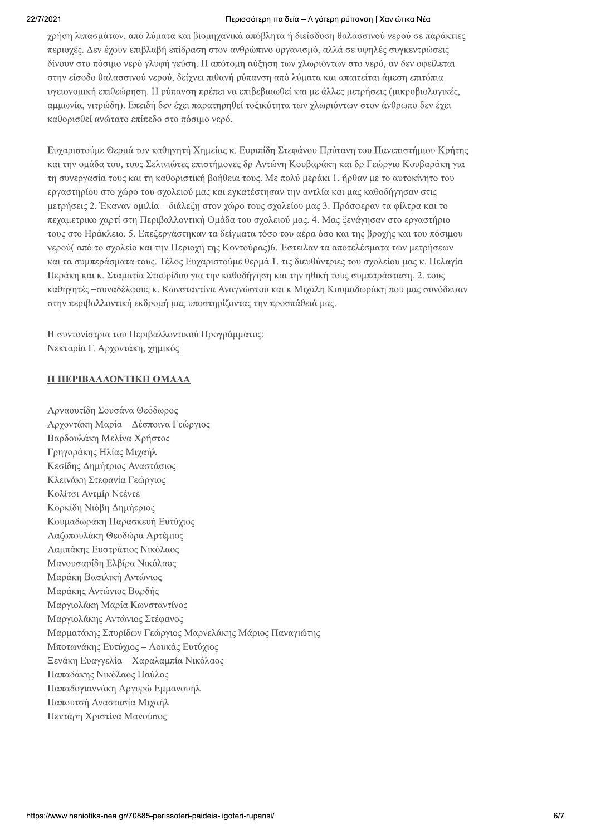### Περισσότερη παιδεία – Λιγότερη ρύπανση | Χανιώτικα Νέα

γρήση λιπασμάτων, από λύματα και βιομηγανικά απόβλητα ή διείσδυση θαλασσινού νερού σε παράκτιες περιοχές. Δεν έχουν επιβλαβή επίδραση στον ανθρώπινο οργανισμό, αλλά σε υψηλές συγκεντρώσεις δίνουν στο πόσιμο νερό γλυφή γεύση. Η απότομη αύξηση των γλωριόντων στο νερό, αν δεν οφείλεται στην είσοδο θαλασσινού νερού, δείχνει πιθανή ρύπανση από λύματα και απαιτείται άμεση επιτόπια υγειονομική επιθεώρηση. Η ρύπανση πρέπει να επιβεβαιωθεί και με άλλες μετρήσεις (μικροβιολογικές, αμμωνία, νιτρώδη). Επειδή δεν έγει παρατηρηθεί τοξικότητα των γλωριόντων στον άνθρωπο δεν έγει καθορισθεί ανώτατο επίπεδο στο πόσιμο νερό.

Ευγαριστούμε Θερμά τον καθηγητή Χημείας κ. Ευριπίδη Στεφάνου Πρύτανη του Πανεπιστήμιου Κρήτης και την ομάδα του, τους Σελινιώτες επιστήμονες δρ Αντώνη Κουβαράκη και δρ Γεώργιο Κουβαράκη για τη συνεργασία τους και τη καθοριστική βοήθεια τους. Με πολύ μεράκι 1. ήρθαν με το αυτοκίνητο του εργαστηρίου στο γώρο του σγολειού μας και εγκατέστησαν την αντλία και μας καθοδήγησαν στις μετρήσεις 2. Έκαναν ομιλία – διάλεξη στον γώρο τους σγολείου μας 3. Πρόσφεραν τα φίλτρα και το πεγαμετρικο γαρτί στη Περιβαλλοντική Ομάδα του σγολειού μας. 4. Μας ξενάγησαν στο εργαστήριο τους στο Ηράκλειο. 5. Επεξεργάστηκαν τα δείγματα τόσο του αέρα όσο και της βρογής και του πόσιμου νερού( από το σγολείο και την Περιογή της Κοντούρας)6. Έστειλαν τα αποτελέσματα των μετρήσεων και τα συμπεράσματα τους. Τέλος Ευγαριστούμε θερμά 1, τις διευθύντριες του σγολείου μας κ. Πελαγία Περάκη και κ. Σταματία Σταυρίδου για την καθοδήγηση και την ηθική τους συμπαράσταση. 2. τους καθηγητές –συναδέλφους κ. Κωνσταντίνα Αναγνώστου και κ Μιχάλη Κουμαδωράκη που μας συνόδεψαν στην περιβαλλοντική εκδρομή μας υποστηρίζοντας την προσπάθειά μας.

Η συντονίστοια του Περιβαλλοντικού Προνράμματος: Νεκταρία Γ. Αρχοντάκη, χημικός

# **H TEPIBAAAONTIKH OMAAA**

Αρναουτίδη Σουσάνα Θεόδωρος Αρχοντάκη Μαρία - Δέσποινα Γεώργιος Βαρδουλάκη Μελίνα Χρήστος Γρηγοράκης Ηλίας Μιχαήλ Κεσίδης Δημήτριος Αναστάσιος Κλεινάκη Στεφανία Γεώργιος Κολίτσι Αντμίρ Ντέντε Κορκίδη Νιόβη Δημήτριος Κουμαδωράκη Παρασκευή Ευτύχιος Λαζοπουλάκη Θεοδώρα Αρτέμιος Λαμπάκης Ευστράτιος Νικόλαος Μανουσαρίδη Ελβίρα Νικόλαος Μαράκη Βασιλική Αντώνιος Μαράκης Αντώνιος Βαρδής Μαργιολάκη Μαρία Κωνσταντίνος Μαργιολάκης Αντώνιος Στέφανος Μαρματάκης Σπυρίδων Γεώργιος Μαρνελάκης Μάριος Παναγιώτης Μποτωνάκης Ευτύγιος - Λουκάς Ευτύγιος Ξενάκη Ευαγγελία – Χαραλαμπία Νικόλαος Παπαδάκης Νικόλαος Παύλος Παπαδογιαννάκη Αργυρώ Εμμανουήλ Παπουτσή Αναστασία Μιχαήλ Πεντάρη Χριστίνα Μανούσος